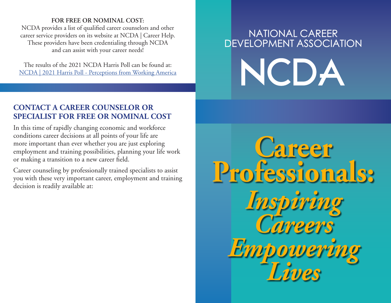## **FOR FREE OR NOMINAL COST:**

NCDA provides a list of qualified career counselors and other career service providers on its website at NCDA | Career Help. These providers have been credentialing through NCDA and can assist with your career needs!

The results of the 2021 NCDA Harris Poll can be found at: [NCDA | 2021 Harris Poll - Perceptions from Working America](https://ncda.org/aws/NCDA/pt/sp/career_help)

## NATIONAL CAREER DEVELOPMENT ASSOCIATION NCDA

## **CONTACT A CAREER COUNSELOR OR SPECIALIST FOR FREE OR NOMINAL COST**

In this time of rapidly changing economic and workforce conditions career decisions at all points of your life are more important than ever whether you are just exploring employment and training possibilities, planning your life work or making a transition to a new career field.

Career counseling by professionally trained specialists to assist you with these very important career, employment and training decision is readily available at:

**Career Professionals:** *Inspiring Careers Empowering Lives*